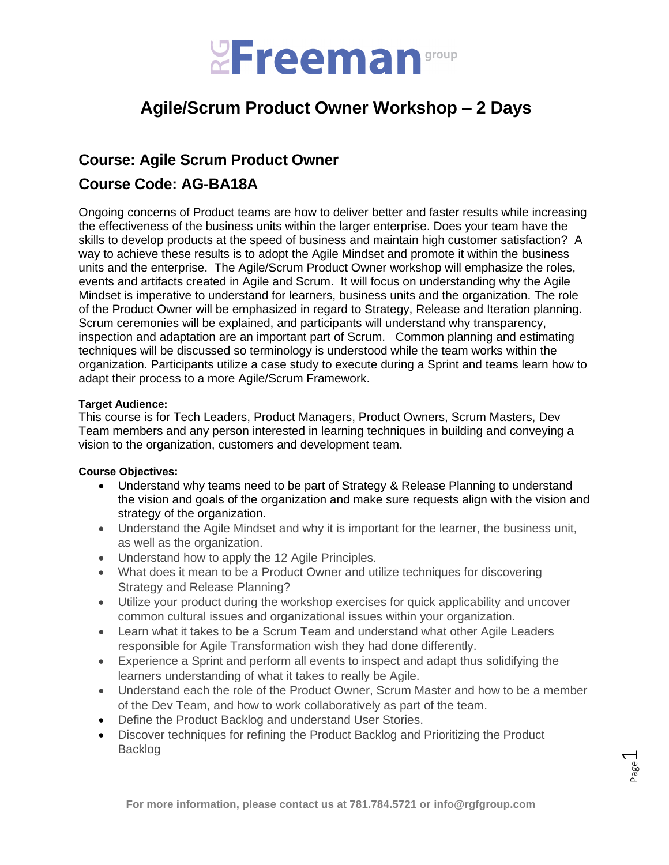

# **Agile/Scrum Product Owner Workshop – 2 Days**

# **Course: Agile Scrum Product Owner**

# **Course Code: AG-BA18A**

Ongoing concerns of Product teams are how to deliver better and faster results while increasing the effectiveness of the business units within the larger enterprise. Does your team have the skills to develop products at the speed of business and maintain high customer satisfaction? A way to achieve these results is to adopt the Agile Mindset and promote it within the business units and the enterprise. The Agile/Scrum Product Owner workshop will emphasize the roles, events and artifacts created in Agile and Scrum. It will focus on understanding why the Agile Mindset is imperative to understand for learners, business units and the organization. The role of the Product Owner will be emphasized in regard to Strategy, Release and Iteration planning. Scrum ceremonies will be explained, and participants will understand why transparency, inspection and adaptation are an important part of Scrum. Common planning and estimating techniques will be discussed so terminology is understood while the team works within the organization. Participants utilize a case study to execute during a Sprint and teams learn how to adapt their process to a more Agile/Scrum Framework.

# **Target Audience:**

This course is for Tech Leaders, Product Managers, Product Owners, Scrum Masters, Dev Team members and any person interested in learning techniques in building and conveying a vision to the organization, customers and development team.

# **Course Objectives:**

- Understand why teams need to be part of Strategy & Release Planning to understand the vision and goals of the organization and make sure requests align with the vision and strategy of the organization.
- Understand the Agile Mindset and why it is important for the learner, the business unit, as well as the organization.
- Understand how to apply the 12 Agile Principles.
- What does it mean to be a Product Owner and utilize techniques for discovering Strategy and Release Planning?
- Utilize your product during the workshop exercises for quick applicability and uncover common cultural issues and organizational issues within your organization.
- Learn what it takes to be a Scrum Team and understand what other Agile Leaders responsible for Agile Transformation wish they had done differently.
- Experience a Sprint and perform all events to inspect and adapt thus solidifying the learners understanding of what it takes to really be Agile.
- Understand each the role of the Product Owner, Scrum Master and how to be a member of the Dev Team, and how to work collaboratively as part of the team.
- Define the Product Backlog and understand User Stories.
- Discover techniques for refining the Product Backlog and Prioritizing the Product Backlog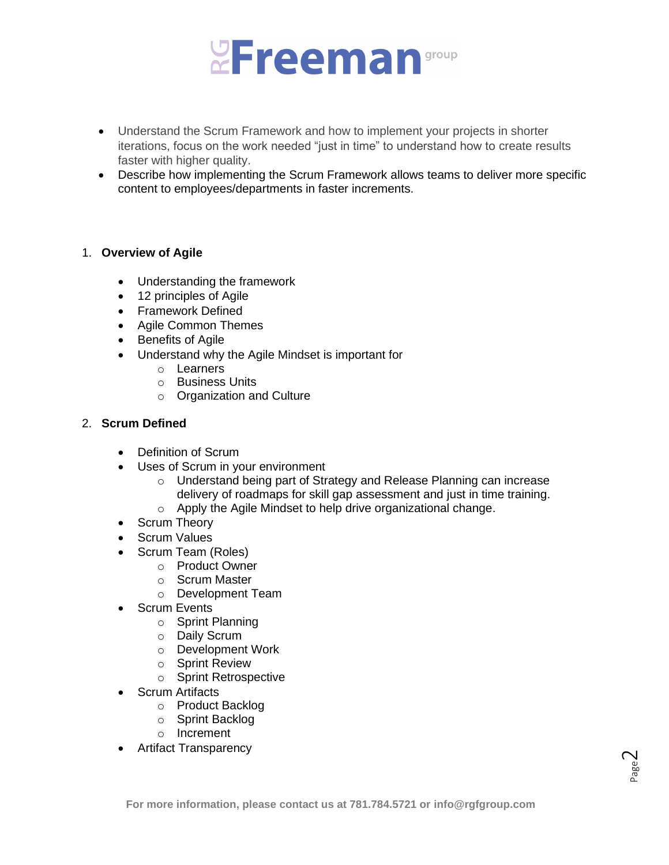

- Understand the Scrum Framework and how to implement your projects in shorter iterations, focus on the work needed "just in time" to understand how to create results faster with higher quality.
- Describe how implementing the Scrum Framework allows teams to deliver more specific content to employees/departments in faster increments.

#### 1. **Overview of Agile**

- Understanding the framework
- 12 principles of Agile
- Framework Defined
- Agile Common Themes
- Benefits of Agile
- Understand why the Agile Mindset is important for
	- o Learners
	- o Business Units
	- o Organization and Culture

# 2. **Scrum Defined**

- Definition of Scrum
- Uses of Scrum in your environment
	- o Understand being part of Strategy and Release Planning can increase delivery of roadmaps for skill gap assessment and just in time training. o Apply the Agile Mindset to help drive organizational change.
	-
- Scrum Theory
- Scrum Values
- Scrum Team (Roles)
	- o Product Owner
	- o Scrum Master
	- o Development Team
	- **Scrum Events** 
		- o Sprint Planning
		- o Daily Scrum
		- o Development Work
		- o Sprint Review
		- o Sprint Retrospective
- Scrum Artifacts
	- o Product Backlog
	- o Sprint Backlog
	- o Increment
- Artifact Transparency